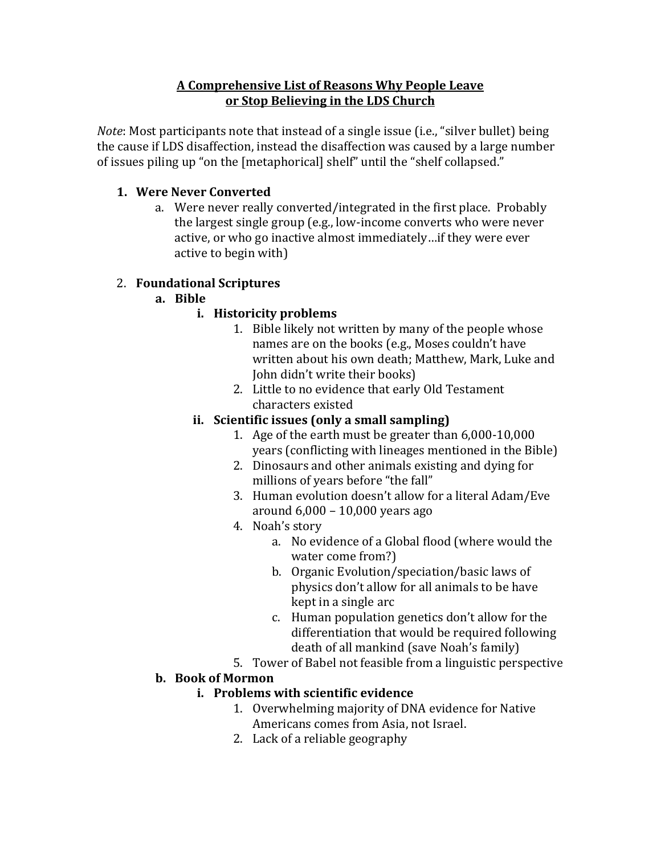### A Comprehensive List of Reasons Why People Leave or Stop Believing in the LDS Church

*Note*: Most participants note that instead of a single issue (i.e., "silver bullet) being the cause if LDS disaffection, instead the disaffection was caused by a large number of issues piling up "on the [metaphorical] shelf" until the "shelf collapsed."

## **1.** Were Never Converted

a. Were never really converted/integrated in the first place. Probably the largest single group (e.g., low-income converts who were never active, or who go inactive almost immediately...if they were ever active to begin with)

# 2. **Foundational Scriptures**

**a. Bible**

# **i.** Historicity problems

- 1. Bible likely not written by many of the people whose names are on the books (e.g., Moses couldn't have written about his own death: Matthew, Mark, Luke and John didn't write their books)
- 2. Little to no evidence that early Old Testament characters existed

# ii. Scientific issues (only a small sampling)

- 1. Age of the earth must be greater than  $6,000-10,000$ years (conflicting with lineages mentioned in the Bible)
- 2. Dinosaurs and other animals existing and dying for millions of years before "the fall"
- 3. Human evolution doesn't allow for a literal Adam/Eve around  $6,000 - 10,000$  years ago
- 4. Noah's story
	- a. No evidence of a Global flood (where would the water come from?)
	- b. Organic Evolution/speciation/basic laws of physics don't allow for all animals to be have kept in a single arc
	- c. Human population genetics don't allow for the differentiation that would be required following death of all mankind (save Noah's family)
- 5. Tower of Babel not feasible from a linguistic perspective

# **b.** Book of Mormon

# **i.** Problems with scientific evidence

- 1. Overwhelming majority of DNA evidence for Native Americans comes from Asia, not Israel.
- 2. Lack of a reliable geography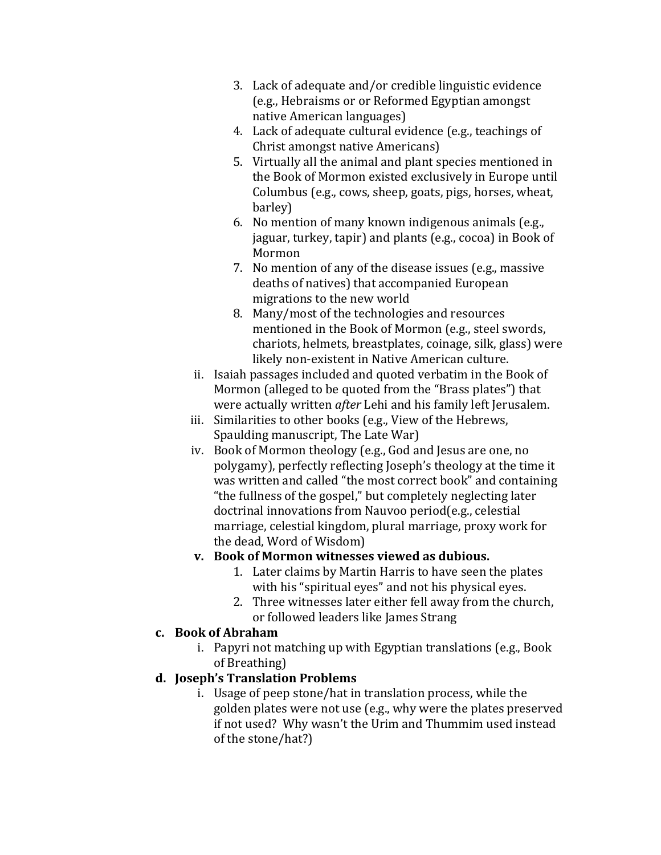- 3. Lack of adequate and/or credible linguistic evidence (e.g., Hebraisms or or Reformed Egyptian amongst native American languages)
- 4. Lack of adequate cultural evidence (e.g., teachings of Christ amongst native Americans)
- 5. Virtually all the animal and plant species mentioned in the Book of Mormon existed exclusively in Europe until Columbus (e.g., cows, sheep, goats, pigs, horses, wheat, barley)
- 6. No mention of many known indigenous animals (e.g., jaguar, turkey, tapir) and plants (e.g., cocoa) in Book of Mormon!
- 7. No mention of any of the disease issues (e.g., massive deaths of natives) that accompanied European migrations to the new world
- 8. Many/most of the technologies and resources mentioned in the Book of Mormon (e.g., steel swords, chariots, helmets, breastplates, coinage, silk, glass) were likely non-existent in Native American culture.
- ii. Isaiah passages included and quoted verbatim in the Book of Mormon (alleged to be quoted from the "Brass plates") that were actually written *after* Lehi and his family left Jerusalem.
- iii. Similarities to other books (e.g., View of the Hebrews, Spaulding manuscript, The Late War)
- iv. Book of Mormon theology (e.g., God and Jesus are one, no polygamy), perfectly reflecting Joseph's theology at the time it was written and called "the most correct book" and containing "the fullness of the gospel," but completely neglecting later doctrinal innovations from Nauvoo period(e.g., celestial marriage, celestial kingdom, plural marriage, proxy work for the dead, Word of Wisdom)

### **v.** Book of Mormon witnesses viewed as dubious.

- 1. Later claims by Martin Harris to have seen the plates with his "spiritual eyes" and not his physical eyes.
- 2. Three witnesses later either fell away from the church, or followed leaders like James Strang

### **c. Book"of"Abraham**

i. Papyri not matching up with Egyptian translations (e.g., Book) of Breathing)

# **d. Joseph's"Translation"Problems**

i. Usage of peep stone/hat in translation process, while the golden plates were not use (e.g., why were the plates preserved if not used? Why wasn't the Urim and Thummim used instead of the stone/hat?)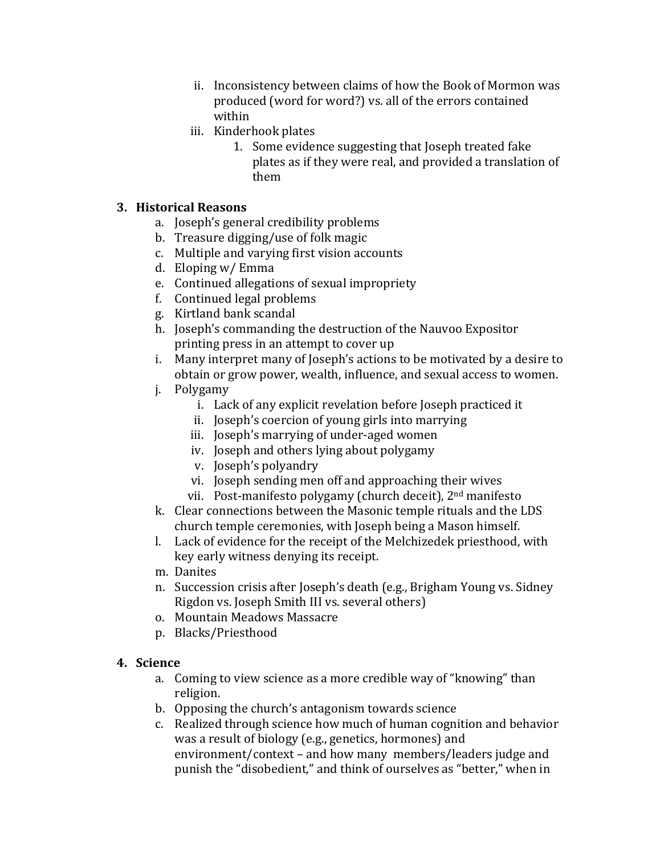- ii. Inconsistency between claims of how the Book of Mormon was produced (word for word?) vs. all of the errors contained within
- iii. Kinderhook plates
	- 1. Some evidence suggesting that Joseph treated fake plates as if they were real, and provided a translation of them

#### 3. Historical Reasons

- a. Joseph's general credibility problems
- b. Treasure digging/use of folk magic
- c. Multiple and varying first vision accounts
- d. Eloping w/ Emma
- e. Continued allegations of sexual impropriety
- f. Continued legal problems
- g. Kirtland bank scandal
- h. Joseph's commanding the destruction of the Nauvoo Expositor printing press in an attempt to cover up
- i. Many interpret many of Joseph's actions to be motivated by a desire to obtain or grow power, wealth, influence, and sexual access to women.
- j. Polygamy
	- i. Lack of any explicit revelation before Joseph practiced it
	- ii. Joseph's coercion of young girls into marrying
	- iii. Joseph's marrying of under-aged women
	- iv. Joseph and others lying about polygamy
	- v. Joseph's polyandry
	- vi. Joseph sending men off and approaching their wives
	- vii. Post-manifesto polygamy (church deceit), 2<sup>nd</sup> manifesto
- k. Clear connections between the Masonic temple rituals and the LDS church temple ceremonies, with Joseph being a Mason himself.
- l. Lack of evidence for the receipt of the Melchizedek priesthood, with key early witness denying its receipt.
- m. Danites
- n. Succession crisis after Joseph's death (e.g., Brigham Young vs. Sidney Rigdon vs. Joseph Smith III vs. several others)
- o. Mountain Meadows Massacre
- p. Blacks/Priesthood

#### 4. Science

- a. Coming to view science as a more credible way of "knowing" than religion.
- b. Opposing the church's antagonism towards science
- c. Realized through science how much of human cognition and behavior was a result of biology (e.g., genetics, hormones) and environment/context – and how many members/leaders judge and punish the "disobedient," and think of ourselves as "better," when in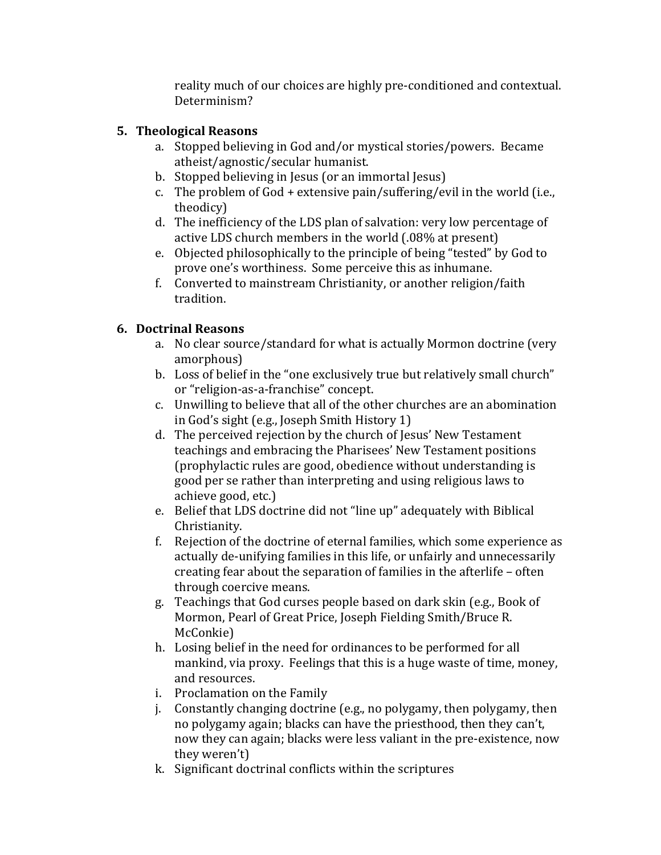reality much of our choices are highly pre-conditioned and contextual. Determinism?

## **5. Theological Reasons**

- a. Stopped believing in God and/or mystical stories/powers. Became atheist/agnostic/secular humanist.
- b. Stopped believing in Jesus (or an immortal Jesus)
- c. The problem of  $God + extensive pain/sufficientg/evil$  in the world (i.e., theodicy)
- d. The inefficiency of the LDS plan of salvation: very low percentage of active LDS church members in the world (.08% at present)
- e. Objected philosophically to the principle of being "tested" by God to prove one's worthiness. Some perceive this as inhumane.
- f. Converted to mainstream Christianity, or another religion/faith tradition.

# 6. Doctrinal Reasons

- a. No clear source/standard for what is actually Mormon doctrine (very amorphous)
- b. Loss of belief in the "one exclusively true but relatively small church" or "religion-as-a-franchise" concept.
- c. Unwilling to believe that all of the other churches are an abomination in God's sight (e.g., Joseph Smith History 1)
- d. The perceived rejection by the church of Jesus' New Testament teachings and embracing the Pharisees' New Testament positions (prophylactic rules are good, obedience without understanding is good per se rather than interpreting and using religious laws to achieve good, etc.)
- e. Belief that LDS doctrine did not "line up" adequately with Biblical Christianity.
- f. Rejection of the doctrine of eternal families, which some experience as actually de-unifying families in this life, or unfairly and unnecessarily creating fear about the separation of families in the afterlife - often through coercive means.
- g. Teachings that God curses people based on dark skin (e.g., Book of Mormon, Pearl of Great Price, Joseph Fielding Smith/Bruce R. McConkie)
- h. Losing belief in the need for ordinances to be performed for all mankind, via proxy. Feelings that this is a huge waste of time, money, and resources.
- i. Proclamation on the Family
- j. Constantly changing doctrine (e.g., no polygamy, then polygamy, then no polygamy again; blacks can have the priesthood, then they can't. now they can again; blacks were less valiant in the pre-existence, now they weren't)
- k. Significant doctrinal conflicts within the scriptures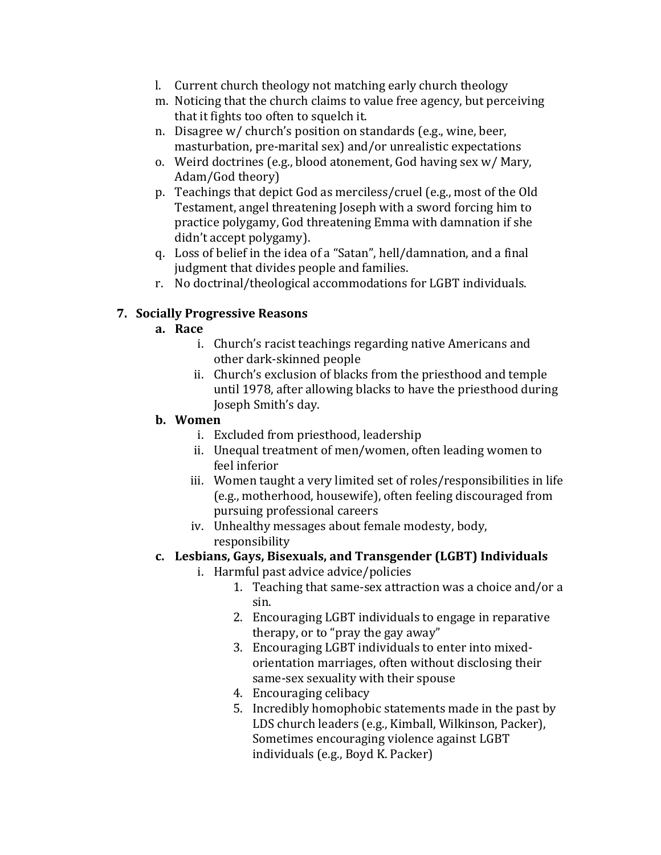- l. Current church theology not matching early church theology
- m. Noticing that the church claims to value free agency, but perceiving that it fights too often to squelch it.
- n. Disagree  $w/$  church's position on standards (e.g., wine, beer, masturbation, pre-marital sex) and/or unrealistic expectations
- o. Weird doctrines (e.g., blood atonement, God having sex  $w/$  Mary, Adam/God theory)
- p. Teachings that depict God as merciless/cruel (e.g., most of the Old Testament, angel threatening Joseph with a sword forcing him to practice polygamy, God threatening Emma with damnation if she didn't accept polygamy).
- q. Loss of belief in the idea of a "Satan", hell/damnation, and a final judgment that divides people and families.
- r. No doctrinal/theological accommodations for LGBT individuals.

### **7. Socially Progressive Reasons**

### **a. Race**

- i. Church's racist teachings regarding native Americans and other dark-skinned people
- ii. Church's exclusion of blacks from the priesthood and temple until 1978, after allowing blacks to have the priesthood during Joseph Smith's day.

#### **b. Women**

- i. Excluded from priesthood, leadership
- ii. Unequal treatment of men/women, often leading women to feel inferior
- iii. Women taught a very limited set of roles/responsibilities in life (e.g., motherhood, housewife), often feeling discouraged from pursuing professional careers
- iv. Unhealthy messages about female modesty, body, responsibility

### **c. Lesbians,"Gays,"Bisexuals,"and"Transgender"(LGBT)"Individuals**

- i. Harmful past advice advice/policies
	- 1. Teaching that same-sex attraction was a choice and/or a sin.
	- 2. Encouraging LGBT individuals to engage in reparative therapy, or to "pray the gay away"
	- 3. Encouraging LGBT individuals to enter into mixedorientation marriages, often without disclosing their same-sex sexuality with their spouse
	- 4. Encouraging celibacy
	- 5. Incredibly homophobic statements made in the past by LDS church leaders (e.g., Kimball, Wilkinson, Packer), Sometimes encouraging violence against LGBT individuals (e.g., Boyd K. Packer)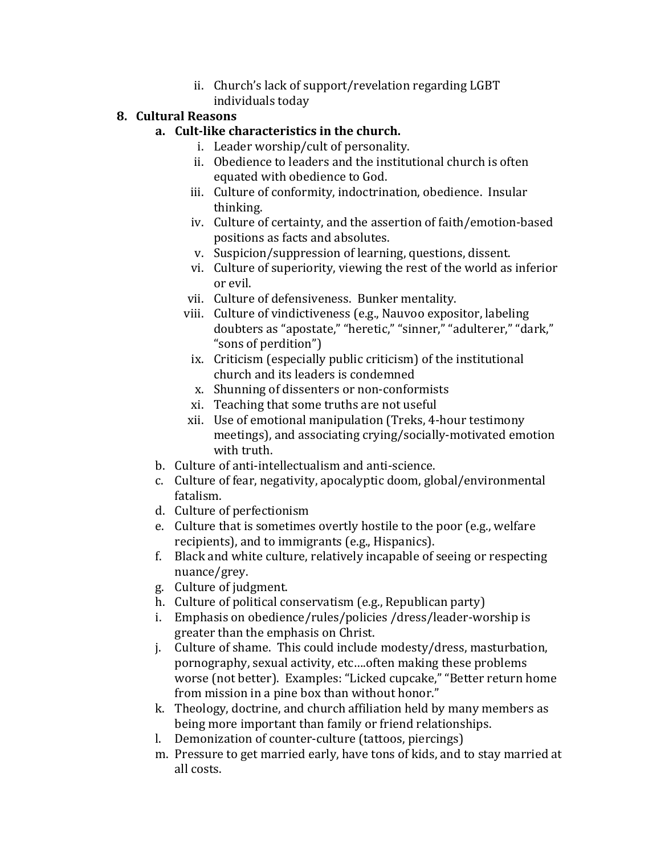ii. Church's lack of support/revelation regarding LGBT individuals today

#### **8. Cultural"Reasons**

### **a.** Cult-like characteristics in the church.

- i. Leader worship/cult of personality.
- ii. Obedience to leaders and the institutional church is often equated with obedience to God.
- iii. Culture of conformity, indoctrination, obedience. Insular thinking.
- iv. Culture of certainty, and the assertion of faith/emotion-based positions as facts and absolutes.
- v. Suspicion/suppression of learning, questions, dissent.
- vi. Culture of superiority, viewing the rest of the world as inferior or evil.
- vii. Culture of defensiveness. Bunker mentality.
- viii. Culture of vindictiveness (e.g., Nauvoo expositor, labeling doubters as "apostate," "heretic," "sinner," "adulterer," "dark," "sons of perdition")
- ix. Criticism (especially public criticism) of the institutional church and its leaders is condemned
- x. Shunning of dissenters or non-conformists
- xi. Teaching that some truths are not useful
- xii. Use of emotional manipulation (Treks, 4-hour testimony meetings), and associating crying/socially-motivated emotion with truth.
- b. Culture of anti-intellectualism and anti-science.
- c. Culture of fear, negativity, apocalyptic doom, global/environmental fatalism.
- d. Culture of perfectionism
- e. Culture that is sometimes overtly hostile to the poor (e.g., welfare recipients), and to immigrants (e.g., Hispanics).
- f. Black and white culture, relatively incapable of seeing or respecting nuance/grey.
- g. Culture of judgment.
- h. Culture of political conservatism (e.g., Republican party)
- i. Emphasis on obedience/rules/policies /dress/leader-worship is greater than the emphasis on Christ.
- j. Culture of shame. This could include modesty/dress, masturbation, pornography, sexual activity, etc....often making these problems worse (not better). Examples: "Licked cupcake," "Better return home from mission in a pine box than without honor."
- k. Theology, doctrine, and church affiliation held by many members as being more important than family or friend relationships.
- l. Demonization of counter-culture (tattoos, piercings)
- m. Pressure to get married early, have tons of kids, and to stay married at all costs.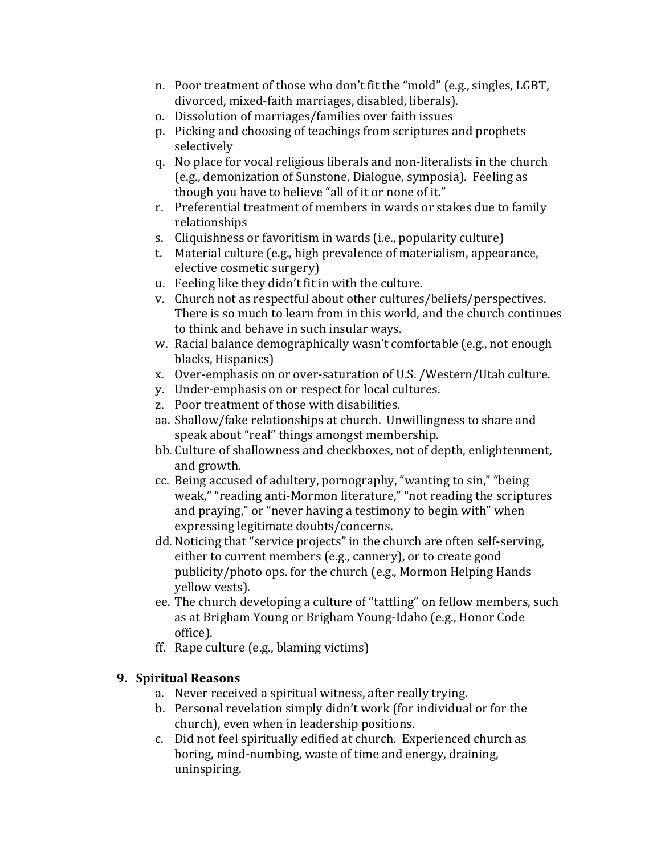- n. Poor treatment of those who don't fit the "mold" (e.g., singles, LGBT, divorced, mixed-faith marriages, disabled, liberals).
- o. Dissolution of marriages/families over faith issues
- p. Picking and choosing of teachings from scriptures and prophets selectively
- q. No place for vocal religious liberals and non-literalists in the church (e.g., demonization of Sunstone, Dialogue, symposia). Feeling as though you have to believe "all of it or none of it."
- r. Preferential treatment of members in wards or stakes due to family relationships
- s. Cliquishness or favoritism in wards (i.e., popularity culture)
- t. Material culture (e.g., high prevalence of materialism, appearance, elective cosmetic surgery)
- u. Feeling like they didn't fit in with the culture.
- v. Church not as respectful about other cultures/beliefs/perspectives. There is so much to learn from in this world, and the church continues to think and behave in such insular ways.
- w. Racial balance demographically wasn't comfortable (e.g., not enough blacks, Hispanics)
- x. Over-emphasis on or over-saturation of U.S. /Western/Utah culture.
- y. Under-emphasis on or respect for local cultures.
- z. Poor treatment of those with disabilities.
- aa. Shallow/fake relationships at church. Unwillingness to share and speak about "real" things amongst membership.
- bb. Culture of shallowness and checkboxes, not of depth, enlightenment, and growth.
- cc. Being accused of adultery, pornography, "wanting to sin," "being weak," "reading anti-Mormon literature," "not reading the scriptures and praying," or "never having a testimony to begin with" when expressing legitimate doubts/concerns.
- dd. Noticing that "service projects" in the church are often self-serving, either to current members (e.g., cannery), or to create good publicity/photo ops. for the church (e.g., Mormon Helping Hands) yellow vests).
- ee. The church developing a culture of "tattling" on fellow members, such as at Brigham Young or Brigham Young-Idaho (e.g., Honor Code office).
- ff. Rape culture (e.g., blaming victims)

# **9. Spiritual Reasons**

- a. Never received a spiritual witness, after really trying.
- b. Personal revelation simply didn't work (for individual or for the church), even when in leadership positions.
- c. Did not feel spiritually edified at church. Experienced church as boring, mind-numbing, waste of time and energy, draining, uninspiring.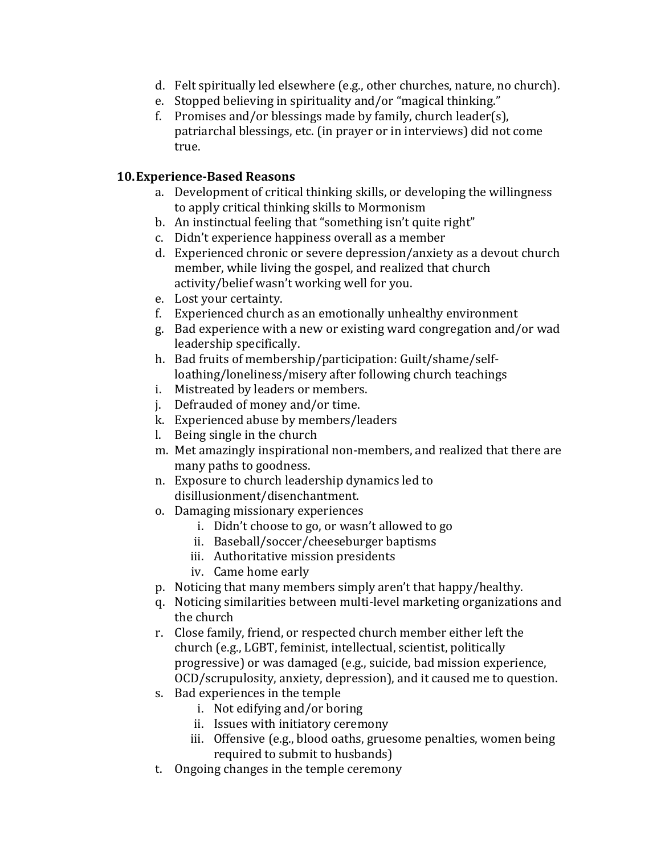- d. Felt spiritually led elsewhere (e.g., other churches, nature, no church).
- e. Stopped believing in spirituality and/or "magical thinking."
- f. Promises and/or blessings made by family, church leader(s), patriarchal blessings, etc. (in prayer or in interviews) did not come true.

#### **10. Experience-Based Reasons**

- a. Development of critical thinking skills, or developing the willingness to apply critical thinking skills to Mormonism
- b. An instinctual feeling that "something isn't quite right"
- c. Didn't experience happiness overall as a member
- d. Experienced chronic or severe depression/anxiety as a devout church member, while living the gospel, and realized that church activity/belief wasn't working well for you.
- e. Lost your certainty.
- f. Experienced church as an emotionally unhealthy environment
- g. Bad experience with a new or existing ward congregation and/or wad leadership specifically.
- h. Bad fruits of membership/participation: Guilt/shame/selfloathing/loneliness/misery after following church teachings
- i. Mistreated by leaders or members.
- j. Defrauded of money and/or time.
- k. Experienced abuse by members/leaders
- l. Being single in the church
- m. Met amazingly inspirational non-members, and realized that there are many paths to goodness.
- n. Exposure to church leadership dynamics led to disillusionment/disenchantment.
- o. Damaging missionary experiences
	- i. Didn't choose to go, or wasn't allowed to go
	- ii. Baseball/soccer/cheeseburger baptisms
	- iii. Authoritative mission presidents
	- iv. Came home early
- p. Noticing that many members simply aren't that happy/healthy.
- q. Noticing similarities between multi-level marketing organizations and the church
- r. Close family, friend, or respected church member either left the church (e.g., LGBT, feminist, intellectual, scientist, politically progressive) or was damaged (e.g., suicide, bad mission experience, OCD/scrupulosity, anxiety, depression), and it caused me to question.
- s. Bad experiences in the temple
	- i. Not edifying and/or boring
	- ii. Issues with initiatory ceremony
	- iii. Offensive (e.g., blood oaths, gruesome penalties, women being required to submit to husbands)
- t. Ongoing changes in the temple ceremony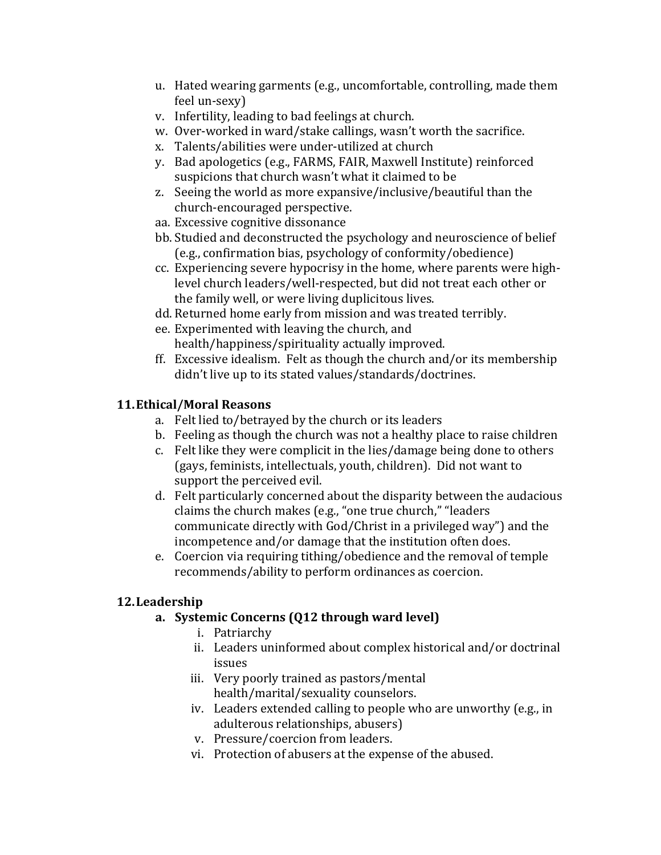- u. Hated wearing garments (e.g., uncomfortable, controlling, made them feel un-sexy)
- v. Infertility, leading to bad feelings at church.
- w. Over-worked in ward/stake callings, wasn't worth the sacrifice.
- x. Talents/abilities were under-utilized at church
- y. Bad apologetics (e.g., FARMS, FAIR, Maxwell Institute) reinforced suspicions that church wasn't what it claimed to be
- z. Seeing the world as more expansive/inclusive/beautiful than the church-encouraged perspective.
- aa. Excessive cognitive dissonance
- bb. Studied and deconstructed the psychology and neuroscience of belief (e.g., confirmation bias, psychology of conformity/obedience)
- cc. Experiencing severe hypocrisy in the home, where parents were highlevel church leaders/well-respected, but did not treat each other or the family well, or were living duplicitous lives.
- dd. Returned home early from mission and was treated terribly.
- ee. Experimented with leaving the church, and health/happiness/spirituality actually improved.
- ff. Excessive idealism. Felt as though the church and/or its membership didn't live up to its stated values/standards/doctrines.

# **11.Ethical/Moral"Reasons**

- a. Felt lied to/betrayed by the church or its leaders
- b. Feeling as though the church was not a healthy place to raise children
- c. Felt like they were complicit in the lies/damage being done to others (gays, feminists, intellectuals, youth, children). Did not want to support the perceived evil.
- d. Felt particularly concerned about the disparity between the audacious claims the church makes (e.g., "one true church," "leaders communicate directly with God/Christ in a privileged way") and the incompetence and/or damage that the institution often does.
- e. Coercion via requiring tithing/obedience and the removal of temple recommends/ability to perform ordinances as coercion.

### **12.Leadership**

### a. Systemic Concerns (Q12 through ward level)

- i. Patriarchy
- ii. Leaders uninformed about complex historical and/or doctrinal issues
- iii. Very poorly trained as pastors/mental health/marital/sexuality counselors.
- iv. Leaders extended calling to people who are unworthy (e.g., in) adulterous relationships, abusers)
- v. Pressure/coercion from leaders.
- vi. Protection of abusers at the expense of the abused.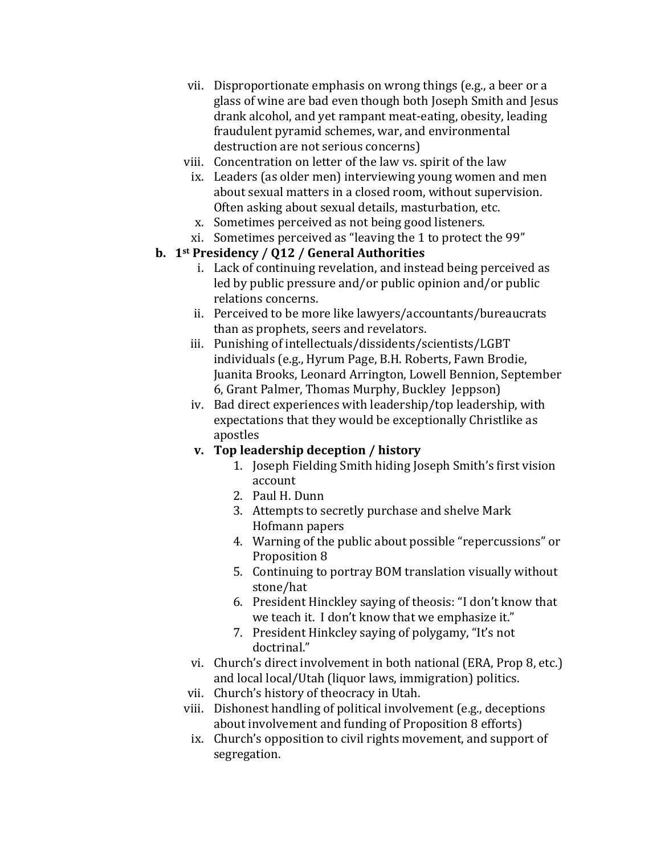- vii. Disproportionate emphasis on wrong things (e.g., a beer or a glass of wine are bad even though both Joseph Smith and Jesus drank alcohol, and yet rampant meat-eating, obesity, leading fraudulent pyramid schemes, war, and environmental destruction are not serious concerns)
- viii. Concentration on letter of the law vs. spirit of the law
	- ix. Leaders (as older men) interviewing young women and men about sexual matters in a closed room, without supervision. Often asking about sexual details, masturbation, etc.
	- x. Sometimes perceived as not being good listeners.
	- xi. Sometimes perceived as "leaving the 1 to protect the 99"

# **b.** 1<sup>st</sup> Presidency / Q12 / General Authorities

- i. Lack of continuing revelation, and instead being perceived as led by public pressure and/or public opinion and/or public relations concerns.
- ii. Perceived to be more like lawyers/accountants/bureaucrats than as prophets, seers and revelators.
- iii. Punishing of intellectuals/dissidents/scientists/LGBT individuals (e.g., Hyrum Page, B.H. Roberts, Fawn Brodie, Juanita Brooks, Leonard Arrington, Lowell Bennion, September 6, Grant Palmer, Thomas Murphy, Buckley Jeppson)
- iv. Bad direct experiences with leadership/top leadership, with expectations that they would be exceptionally Christlike as apostles
- **v.** Top leadership deception / history
	- 1. Joseph Fielding Smith hiding Joseph Smith's first vision account
	- 2. Paul H. Dunn
	- 3. Attempts to secretly purchase and shelve Mark Hofmann papers
	- 4. Warning of the public about possible "repercussions" or Proposition 8
	- 5. Continuing to portray BOM translation visually without stone/hat
	- 6. President Hinckley saying of theosis: "I don't know that we teach it. I don't know that we emphasize it."
	- 7. President Hinkcley saying of polygamy, "It's not doctrinal."
- vi. Church's direct involvement in both national (ERA, Prop 8, etc.) and local local/Utah (liquor laws, immigration) politics.
- vii. Church's history of theocracy in Utah.
- viii. Dishonest handling of political involvement (e.g., deceptions about involvement and funding of Proposition 8 efforts)
	- ix. Church's opposition to civil rights movement, and support of segregation.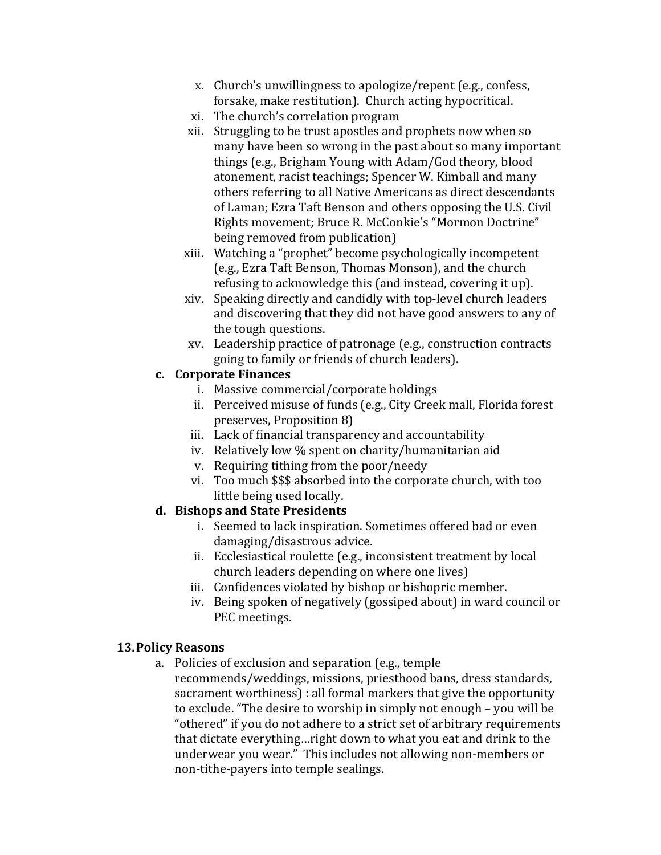- x. Church's unwillingness to apologize/repent (e.g., confess, forsake, make restitution). Church acting hypocritical.
- xi. The church's correlation program
- xii. Struggling to be trust apostles and prophets now when so many have been so wrong in the past about so many important things (e.g., Brigham Young with Adam/God theory, blood atonement, racist teachings; Spencer W. Kimball and many others referring to all Native Americans as direct descendants of Laman; Ezra Taft Benson and others opposing the U.S. Civil Rights movement; Bruce R. McConkie's "Mormon Doctrine" being removed from publication)
- xiii. Watching a "prophet" become psychologically incompetent (e.g., Ezra Taft Benson, Thomas Monson), and the church refusing to acknowledge this (and instead, covering it up).
- xiv. Speaking directly and candidly with top-level church leaders and discovering that they did not have good answers to any of the tough questions.
- xv. Leadership practice of patronage (e.g., construction contracts going to family or friends of church leaders).

### **c. Corporate Finances**

- i. Massive commercial/corporate holdings
- ii. Perceived misuse of funds (e.g., City Creek mall, Florida forest preserves, Proposition 8)
- iii. Lack of financial transparency and accountability
- iv. Relatively low % spent on charity/humanitarian aid
- v. Requiring tithing from the poor/needy
- vi. Too much \$\$\$ absorbed into the corporate church, with too little being used locally.

### **d. Bishops"and"State"Presidents**

- i. Seemed to lack inspiration. Sometimes offered bad or even damaging/disastrous advice.
- ii. Ecclesiastical roulette (e.g., inconsistent treatment by local church leaders depending on where one lives)
- iii. Confidences violated by bishop or bishopric member.
- iv. Being spoken of negatively (gossiped about) in ward council or PEC meetings.

### **13.Policy"Reasons**

a. Policies of exclusion and separation (e.g., temple recommends/weddings, missions, priesthood bans, dress standards, sacrament worthiness) : all formal markers that give the opportunity to exclude. "The desire to worship in simply not enough – you will be "othered" if you do not adhere to a strict set of arbitrary requirements that dictate everything...right down to what you eat and drink to the underwear you wear." This includes not allowing non-members or non-tithe-payers into temple sealings.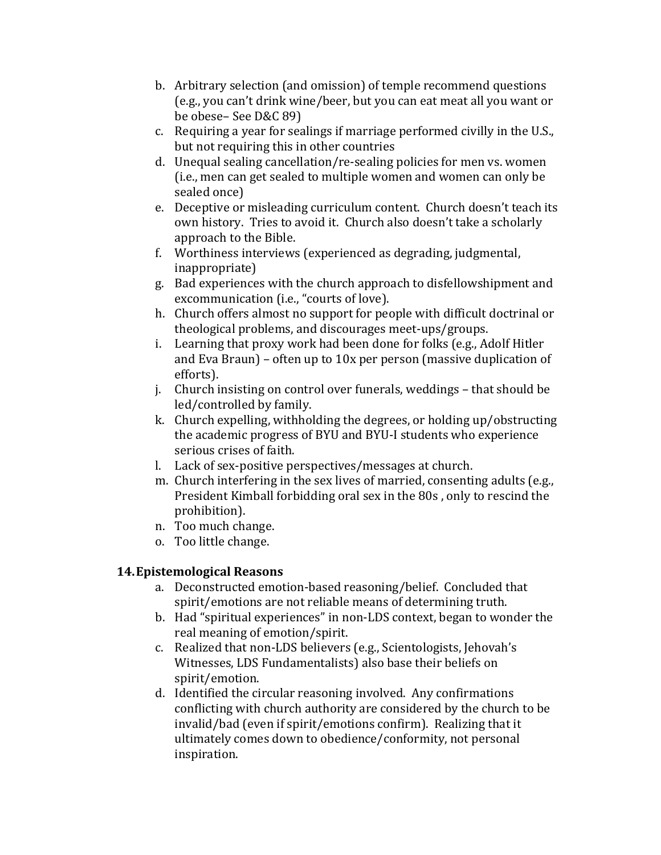- b. Arbitrary selection (and omission) of temple recommend questions (e.g., you can't drink wine/beer, but you can eat meat all you want or be obese– See D&C 89)
- c. Requiring a year for sealings if marriage performed civilly in the U.S., but not requiring this in other countries
- d. Unequal sealing cancellation/re-sealing policies for men vs. women (i.e., men can get sealed to multiple women and women can only be sealed once)
- e. Deceptive or misleading curriculum content. Church doesn't teach its own history. Tries to avoid it. Church also doesn't take a scholarly approach to the Bible.
- f. Worthiness interviews (experienced as degrading, judgmental, inappropriate)
- g. Bad experiences with the church approach to disfellowshipment and excommunication (i.e., "courts of love).
- h. Church offers almost no support for people with difficult doctrinal or theological problems, and discourages meet-ups/groups.
- i. Learning that proxy work had been done for folks (e.g., Adolf Hitler and Eva Braun) – often up to  $10x$  per person (massive duplication of efforts).
- j. Church insisting on control over funerals, weddings that should be led/controlled by family.
- k. Church expelling, withholding the degrees, or holding up/obstructing the academic progress of BYU and BYU-I students who experience serious crises of faith.
- l. Lack of sex-positive perspectives/messages at church.
- m. Church interfering in the sex lives of married, consenting adults (e.g., President Kimball forbidding oral sex in the 80s, only to rescind the prohibition).
- n. Too much change.
- o. Too little change.

### **14.Epistemological"Reasons**

- a. Deconstructed emotion-based reasoning/belief. Concluded that spirit/emotions are not reliable means of determining truth.
- b. Had "spiritual experiences" in non-LDS context, began to wonder the real meaning of emotion/spirit.
- c. Realized that non-LDS believers (e.g., Scientologists, Jehovah's Witnesses, LDS Fundamentalists) also base their beliefs on spirit/emotion.
- d. Identified the circular reasoning involved. Any confirmations conflicting with church authority are considered by the church to be invalid/bad (even if spirit/emotions confirm). Realizing that it ultimately comes down to obedience/conformity, not personal inspiration.